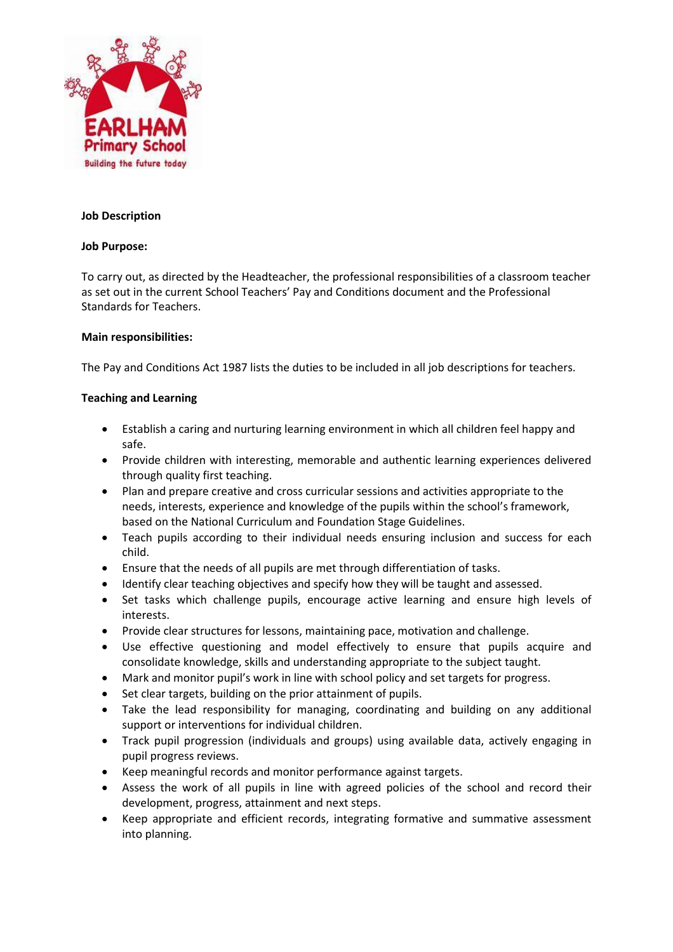

### **Job Description**

#### **Job Purpose:**

To carry out, as directed by the Headteacher, the professional responsibilities of a classroom teacher as set out in the current School Teachers' Pay and Conditions document and the Professional Standards for Teachers.

#### **Main responsibilities:**

The Pay and Conditions Act 1987 lists the duties to be included in all job descriptions for teachers.

#### **Teaching and Learning**

- Establish a caring and nurturing learning environment in which all children feel happy and safe.
- Provide children with interesting, memorable and authentic learning experiences delivered through quality first teaching.
- Plan and prepare creative and cross curricular sessions and activities appropriate to the needs, interests, experience and knowledge of the pupils within the school's framework, based on the National Curriculum and Foundation Stage Guidelines.
- Teach pupils according to their individual needs ensuring inclusion and success for each child.
- Ensure that the needs of all pupils are met through differentiation of tasks.
- Identify clear teaching objectives and specify how they will be taught and assessed.
- Set tasks which challenge pupils, encourage active learning and ensure high levels of interests.
- Provide clear structures for lessons, maintaining pace, motivation and challenge.
- Use effective questioning and model effectively to ensure that pupils acquire and consolidate knowledge, skills and understanding appropriate to the subject taught.
- Mark and monitor pupil's work in line with school policy and set targets for progress.
- Set clear targets, building on the prior attainment of pupils.
- Take the lead responsibility for managing, coordinating and building on any additional support or interventions for individual children.
- Track pupil progression (individuals and groups) using available data, actively engaging in pupil progress reviews.
- Keep meaningful records and monitor performance against targets.
- Assess the work of all pupils in line with agreed policies of the school and record their development, progress, attainment and next steps.
- Keep appropriate and efficient records, integrating formative and summative assessment into planning.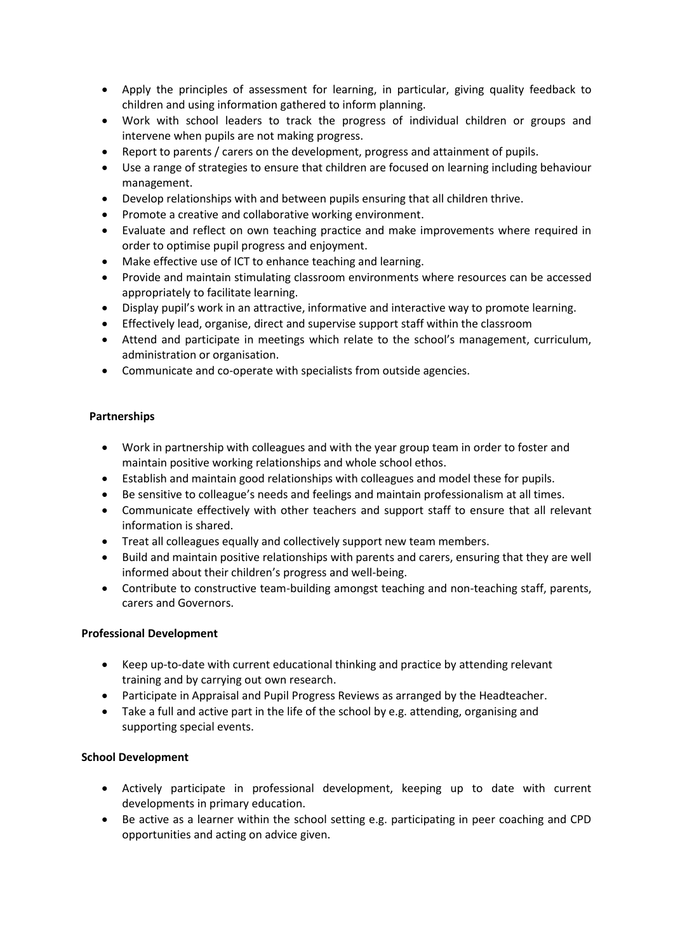- Apply the principles of assessment for learning, in particular, giving quality feedback to children and using information gathered to inform planning.
- Work with school leaders to track the progress of individual children or groups and intervene when pupils are not making progress.
- Report to parents / carers on the development, progress and attainment of pupils.
- Use a range of strategies to ensure that children are focused on learning including behaviour management.
- Develop relationships with and between pupils ensuring that all children thrive.
- Promote a creative and collaborative working environment.
- Evaluate and reflect on own teaching practice and make improvements where required in order to optimise pupil progress and enjoyment.
- Make effective use of ICT to enhance teaching and learning.
- Provide and maintain stimulating classroom environments where resources can be accessed appropriately to facilitate learning.
- Display pupil's work in an attractive, informative and interactive way to promote learning.
- Effectively lead, organise, direct and supervise support staff within the classroom
- Attend and participate in meetings which relate to the school's management, curriculum, administration or organisation.
- Communicate and co-operate with specialists from outside agencies.

# **Partnerships**

- Work in partnership with colleagues and with the year group team in order to foster and maintain positive working relationships and whole school ethos.
- Establish and maintain good relationships with colleagues and model these for pupils.
- Be sensitive to colleague's needs and feelings and maintain professionalism at all times.
- Communicate effectively with other teachers and support staff to ensure that all relevant information is shared.
- Treat all colleagues equally and collectively support new team members.
- Build and maintain positive relationships with parents and carers, ensuring that they are well informed about their children's progress and well-being.
- Contribute to constructive team-building amongst teaching and non-teaching staff, parents, carers and Governors.

# **Professional Development**

- Keep up-to-date with current educational thinking and practice by attending relevant training and by carrying out own research.
- Participate in Appraisal and Pupil Progress Reviews as arranged by the Headteacher.
- Take a full and active part in the life of the school by e.g. attending, organising and supporting special events.

# **School Development**

- Actively participate in professional development, keeping up to date with current developments in primary education.
- Be active as a learner within the school setting e.g. participating in peer coaching and CPD opportunities and acting on advice given.